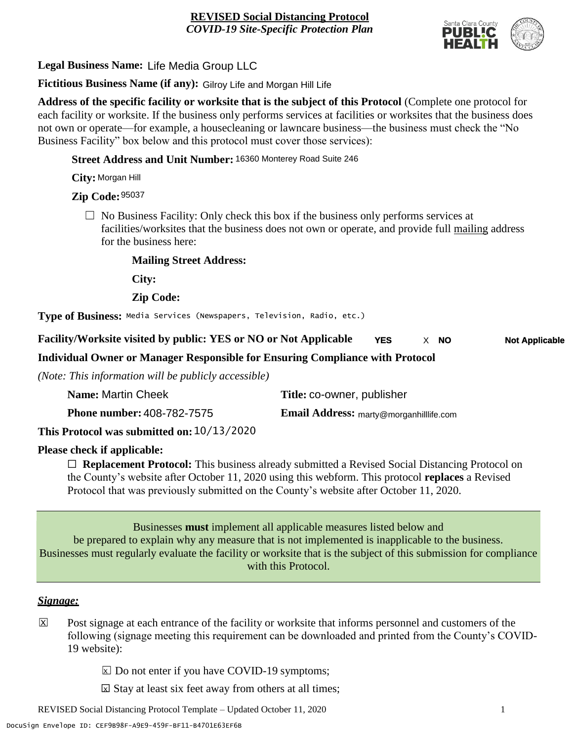

**Legal Business Name:** Life Media Group LLC

**Fictitious Business Name (if any):** Gilroy Life and Morgan Hill Life

**Address of the specific facility or worksite that is the subject of this Protocol** (Complete one protocol for each facility or worksite. If the business only performs services at facilities or worksites that the business does not own or operate—for example, a housecleaning or lawncare business—the business must check the "No Business Facility" box below and this protocol must cover those services):

**Street Address and Unit Number:** 16360 Monterey Road Suite 246

**City:** Morgan Hill

**Zip Code:** 95037

 $\Box$  No Business Facility: Only check this box if the business only performs services at facilities/worksites that the business does not own or operate, and provide full mailing address for the business here:

**Mailing Street Address:**

**City:**

**Zip Code:**

**Type of Business:** Media Services (Newspapers, Television, Radio, etc.)

**Facility/Worksite visited by public: YES or NO or Not Applicable YES** X **NO Not Applicable NO**

**Individual Owner or Manager Responsible for Ensuring Compliance with Protocol**

*(Note: This information will be publicly accessible)*

| Name: Martin Cheek                         | Title: co-owner, publisher                    |
|--------------------------------------------|-----------------------------------------------|
| <b>Phone number: 408-782-7575</b>          | <b>Email Address: marty@morganhillife.com</b> |
| This Protocol was submitted on: 10/13/2020 |                                               |

**Please check if applicable:**

☐ **Replacement Protocol:** This business already submitted a Revised Social Distancing Protocol on the County's website after October 11, 2020 using this webform. This protocol **replaces** a Revised Protocol that was previously submitted on the County's website after October 11, 2020.

Businesses **must** implement all applicable measures listed below and be prepared to explain why any measure that is not implemented is inapplicable to the business. Businesses must regularly evaluate the facility or worksite that is the subject of this submission for compliance with this Protocol.

## *Signage:*

- Post signage at each entrance of the facility or worksite that informs personnel and customers of the following (signage meeting this requirement can be downloaded and printed from the County's COVID-19 website):  $|\overline{x}|$ 
	- $\boxed{\times}$  Do not enter if you have COVID-19 symptoms;
	- $\boxtimes$  Stay at least six feet away from others at all times;

REVISED Social Distancing Protocol Template – Updated October 11, 2020 1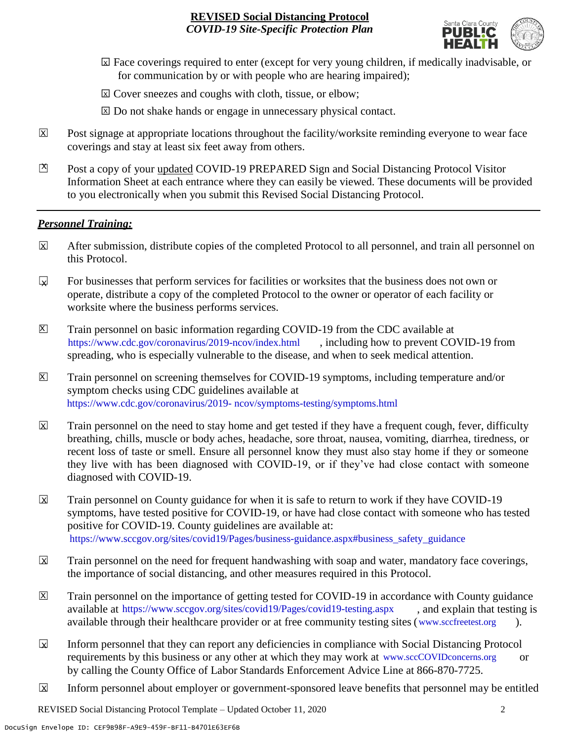

- ☐ Face coverings required to enter (except for very young children, if medically inadvisable, or X for communication by or with people who are hearing impaired);
- ⊠ Cover sneezes and coughs with cloth, tissue, or elbow;
- ⊠ Do not shake hands or engage in unnecessary physical contact.
- Post signage at appropriate locations throughout the facility/worksite reminding everyone to wear face coverings and stay at least six feet away from others. X
- Post a copy of your updated COVID-19 PREPARED Sign and Social Distancing Protocol Visitor Information Sheet at each entrance where they can easily be viewed. These documents will be provided to you electronically when you submit this Revised Social Distancing Protocol.  $\mathbb{Z}$

#### *Personnel Training:*

- After submission, distribute copies of the completed Protocol to all personnel, and train all personnel on this Protocol.  $\mathbf x$
- For businesses that perform services for facilities or worksites that the business does not own or operate, distribute a copy of the completed Protocol to the owner or operator of each facility or worksite where the business performs services.  $\mathbf{v}$
- Train personnel on basic information regarding COVID-19 from the CDC available at [https://www.cdc.gov/coronavirus/2019-ncov/index.html,](https://www.cdc.gov/coronavirus/2019-ncov/index.html) including how to prevent COVID-19 from spreading, who is especially vulnerable to the disease, and when to seek medical attention.  $\mathsf{X}$
- Train personnel on screening themselves for COVID-19 symptoms, including temperature and/or symptom checks using CDC guidelines available at [https://www.cdc.gov/coronavirus/2019-](https://www.cdc.gov/coronavirus/2019-ncov/symptoms-testing/symptoms.html) [ncov/symptoms-testing/symptoms.html.](https://www.cdc.gov/coronavirus/2019-ncov/symptoms-testing/symptoms.html) https://www.cdc.gov/coronavirus/2019- ncov/symptoms-testing/symptoms.html  $|\mathsf{X}|$
- Train personnel on the need to stay home and get tested if they have a frequent cough, fever, difficulty breathing, chills, muscle or body aches, headache, sore throat, nausea, vomiting, diarrhea, tiredness, or recent loss of taste or smell. Ensure all personnel know they must also stay home if they or someone they live with has been diagnosed with COVID-19, or if they've had close contact with someone diagnosed with COVID-19.  $\mathbf x$
- Train personnel on County guidance for when it is safe to return to work if they have COVID-19 symptoms, have tested positive for COVID-19, or have had close contact with someone who has tested positive for COVID-19. County guidelines are available at: [https://www.sccgov.org/sites/covid19/Pages/business-guidance.aspx#business\\_safety\\_guidance.](https://www.sccgov.org/sites/covid19/Pages/business-guidance.aspx#business_safety_guidance.) https://www.sccgov.org/sites/covid19/Pages/business-guidance.aspx#business\_safety\_guidance  $\overline{\mathbf{x}}$
- Train personnel on the need for frequent handwashing with soap and water, mandatory face coverings, the importance of social distancing, and other measures required in this Protocol.  $\overline{\mathsf{x}}$
- Train personnel on the importance of getting tested for COVID-19 in accordance with County guidance available at [https://www.sccgov.org/sites/covid19/Pages/covid19-testing.aspx,](https://www.sccgov.org/sites/covid19/Pages/covid19-testing.aspx) and explain that testing is available through their healthcare provider or at free community testing sites [\(www.sccfreetest.org](http://www.sccfreetest.org/) ).  $\vert X \vert$
- Inform personnel that they can report any deficiencies in compliance with Social Distancing Protocol requirements by this business or any other at which they may work at [www.sccCOVIDconcerns.org](http://www.scccovidconcerns.org/) or by calling the County Office of Labor Standards Enforcement Advice Line at 866-870-7725.  $\overline{\mathbf{x}}$
- Inform personnel about employer or government-sponsored leave benefits that personnel may be entitled  $\boxtimes$

REVISED Social Distancing Protocol Template – Updated October 11, 2020 2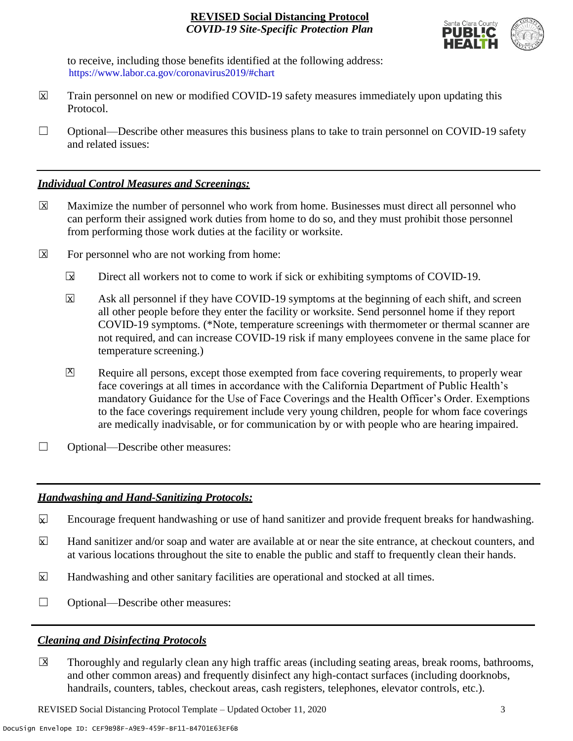

to receive, including those benefits identified at the following address: [https://www.labor.ca.gov/coronavirus2019/#chart.](https://www.labor.ca.gov/coronavirus2019/#chart) https://www.labor.ca.gov/coronavirus2019/#chart

- Train personnel on new or modified COVID-19 safety measures immediately upon updating this Protocol.  $\boxtimes$
- $\Box$  Optional—Describe other measures this business plans to take to train personnel on COVID-19 safety and related issues:

### *Individual Control Measures and Screenings:*

- Maximize the number of personnel who work from home. Businesses must direct all personnel who can perform their assigned work duties from home to do so, and they must prohibit those personnel from performing those work duties at the facility or worksite.  $|\overline{X}|$
- For personnel who are not working from home:  $\boxtimes$ 
	- Direct all workers not to come to work if sick or exhibiting symptoms of COVID-19.  $\overline{\mathbf{x}}$
	- Ask all personnel if they have COVID-19 symptoms at the beginning of each shift, and screen all other people before they enter the facility or worksite. Send personnel home if they report COVID-19 symptoms. (\*Note, temperature screenings with thermometer or thermal scanner are not required, and can increase COVID-19 risk if many employees convene in the same place for temperature screening.) X
	- Require all persons, except those exempted from face covering requirements, to properly wear face coverings at all times in accordance with the California Department of Public Health's mandatory Guidance for the Use of Face Coverings and the Health Officer's Order. Exemptions to the face coverings requirement include very young children, people for whom face coverings are medically inadvisable, or for communication by or with people who are hearing impaired.  $\mathbf{X}$
- □ Optional—Describe other measures:

## *Handwashing and Hand-Sanitizing Protocols:*

- Encourage frequent handwashing or use of hand sanitizer and provide frequent breaks for handwashing.  $\mathbf{x}$
- Hand sanitizer and/or soap and water are available at or near the site entrance, at checkout counters, and at various locations throughout the site to enable the public and staff to frequently clean their hands.  $\overline{\mathbf{x}}$
- Handwashing and other sanitary facilities are operational and stocked at all times.  $\mathbf{x}$
- ☐ Optional—Describe other measures:

## *Cleaning and Disinfecting Protocols*

☐ Thoroughly and regularly clean any high traffic areas (including seating areas, break rooms, bathrooms, and other common areas) and frequently disinfect any high-contact surfaces (including doorknobs, handrails, counters, tables, checkout areas, cash registers, telephones, elevator controls, etc.).  $\overline{\mathsf{x}}$ 

REVISED Social Distancing Protocol Template – Updated October 11, 2020 3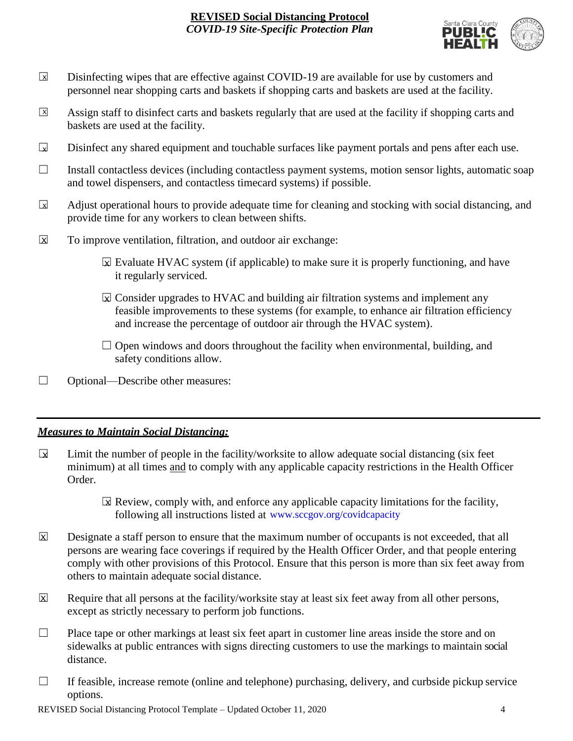

- Disinfecting wipes that are effective against COVID-19 are available for use by customers and personnel near shopping carts and baskets if shopping carts and baskets are used at the facility.  $\boxed{\mathsf{x}}$
- Assign staff to disinfect carts and baskets regularly that are used at the facility if shopping carts and baskets are used at the facility.  $\sqrt{X}$
- Disinfect any shared equipment and touchable surfaces like payment portals and pens after each use.  $\Box$
- ☐ Install contactless devices (including contactless payment systems, motion sensor lights, automatic soap and towel dispensers, and contactless timecard systems) if possible.
- Adjust operational hours to provide adequate time for cleaning and stocking with social distancing, and provide time for any workers to clean between shifts.  $\sqrt{X}$
- To improve ventilation, filtration, and outdoor air exchange:  $\overline{\mathsf{x}}$ 
	- $\boxtimes$  Evaluate HVAC system (if applicable) to make sure it is properly functioning, and have it regularly serviced.
	- $\boxtimes$  Consider upgrades to HVAC and building air filtration systems and implement any feasible improvements to these systems (for example, to enhance air filtration efficiency and increase the percentage of outdoor air through the HVAC system).
	- $\Box$  Open windows and doors throughout the facility when environmental, building, and safety conditions allow.
- ☐ Optional—Describe other measures:

## *Measures to Maintain Social Distancing:*

- Limit the number of people in the facility/worksite to allow adequate social distancing (six feet minimum) at all times and to comply with any applicable capacity restrictions in the Health Officer Order.  $\mathbf{r}$ 
	- $\boxtimes$  Review, comply with, and enforce any applicable capacity limitations for the facility, following all instructions listed at www.sccgov.org/covidcapacity
- Designate a staff person to ensure that the maximum number of occupants is not exceeded, that all persons are wearing face coverings if required by the Health Officer Order, and that people entering comply with other provisions of this Protocol. Ensure that this person is more than six feet away from others to maintain adequate social distance.  $|\overline{\mathsf{x}}|$
- Require that all persons at the facility/worksite stay at least six feet away from all other persons, except as strictly necessary to perform job functions. X
- $\Box$  Place tape or other markings at least six feet apart in customer line areas inside the store and on sidewalks at public entrances with signs directing customers to use the markings to maintain social distance.
- $\Box$  If feasible, increase remote (online and telephone) purchasing, delivery, and curbside pickup service options.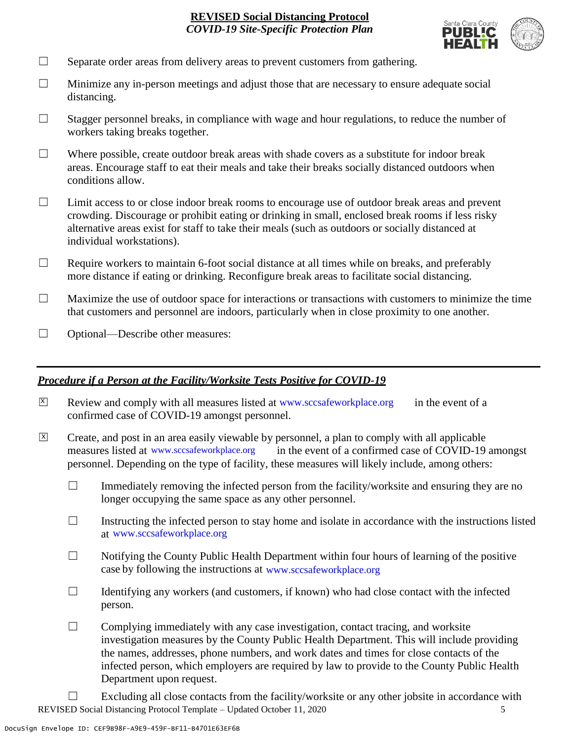

- $\Box$  Separate order areas from delivery areas to prevent customers from gathering.
- $\Box$  Minimize any in-person meetings and adjust those that are necessary to ensure adequate social distancing.
- $\Box$  Stagger personnel breaks, in compliance with wage and hour regulations, to reduce the number of workers taking breaks together.
- $\Box$  Where possible, create outdoor break areas with shade covers as a substitute for indoor break areas. Encourage staff to eat their meals and take their breaks socially distanced outdoors when conditions allow.
- ☐ Limit access to or close indoor break rooms to encourage use of outdoor break areas and prevent crowding. Discourage or prohibit eating or drinking in small, enclosed break rooms if less risky alternative areas exist for staff to take their meals (such as outdoors or socially distanced at individual workstations).
- $\Box$  Require workers to maintain 6-foot social distance at all times while on breaks, and preferably more distance if eating or drinking. Reconfigure break areas to facilitate social distancing.
- $\Box$  Maximize the use of outdoor space for interactions or transactions with customers to minimize the time that customers and personnel are indoors, particularly when in close proximity to one another.
- □ Optional—Describe other measures:

#### *Procedure if a Person at the Facility/Worksite Tests Positive for COVID-19*

- $\boxtimes$  Review and comply with all measures listed at [www.sccsafeworkplace.org](http://www.sccsafeworkplace.org/) in the event of a confirmed case of COVID-19 amongst personnel.
- ☐ Create, and post in an area easily viewable by personnel, a plan to comply with all applicable in the event of a confirmed case of COVID-19 amongst personnel. Depending on the type of facility, these measures will likely include, among others:  $\overline{X}$ measures listed at www.sccsafeworkplace.org
	- $\Box$  Immediately removing the infected person from the facility/worksite and ensuring they are no longer occupying the same space as any other personnel.
	- $\Box$  Instructing the infected person to stay home and isolate in accordance with the instructions listed at [www.sccsafeworkplace.org.](file:///C:/Users/raphael.rajendra/AppData/Local/Microsoft/Windows/INetCache/Content.Outlook/PTLHNOTE/www.sccsafeworkplace.org) www.sccsafeworkplace.org
	- $\Box$  Notifying the County Public Health Department within four hours of learning of the positive case by following the instructions at www.sccsafeworkplace.org
	- $\Box$  Identifying any workers (and customers, if known) who had close contact with the infected person.
	- $\Box$  Complying immediately with any case investigation, contact tracing, and worksite investigation measures by the County Public Health Department. This will include providing the names, addresses, phone numbers, and work dates and times for close contacts of the infected person, which employers are required by law to provide to the County Public Health Department upon request.
- REVISED Social Distancing Protocol Template Updated October 11, 2020 5  $\Box$  Excluding all close contacts from the facility/worksite or any other jobsite in accordance with